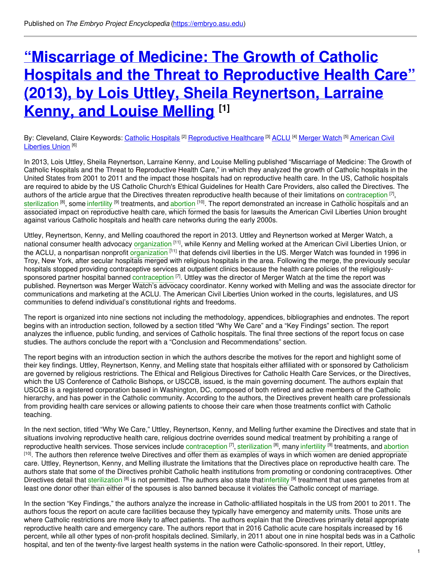# **"Miscarriage of Medicine: The Growth of Catholic Hospitals and the Threat to [Reproductive](https://embryo.asu.edu/pages/miscarriage-medicine-growth-catholic-hospitals-and-threat-reproductive-health-care-2013-lois) Health Care" (2013), by Lois Uttley, Sheila Reynertson, Larraine Kenny, and Louise Melling [1]**

By: Cleveland, Claire Keywords: <u>Catholic [Hospitals](https://embryo.asu.edu/keywords/catholic-hospitals)</u> <sup>[2]</sup> [Reproductive](https://embryo.asu.edu/keywords/american-civil-liberties-union) Healthcare <sup>[3]</sup> [ACLU](https://embryo.asu.edu/keywords/aclu) <sup>[4]</sup> [Merger](https://embryo.asu.edu/keywords/merger-watch) Watch <sup>[5]</sup> American Civil Liberties Union<sup>[6]</sup>

In 2013, Lois Uttley, Sheila Reynertson, Larraine Kenny, and Louise Melling published "Miscarriage of Medicine: The Growth of Catholic Hospitals and the Threat to Reproductive Health Care," in which they analyzed the growth of Catholic hospitals in the United States from 2001 to 2011 and the impact those hospitals had on reproductive health care. In the US, Catholic hospitals are required to abide by the US Catholic Church's Ethical Guidelines for Health Care Providers, also called the Directives. The authors of the article argue that the Directives threaten reproductive health because of their limitations on [contraception](https://embryo.asu.edu/search?text=contraception)  $^{[7]}$ , [sterilization](https://embryo.asu.edu/search?text=sterilization) <sup>[8]</sup>, some [infertility](https://embryo.asu.edu/search?text=infertility) <sup>[9]</sup> treatments, and [abortion](https://embryo.asu.edu/search?text=abortion) <sup>[10]</sup>. The report demonstrated an increase in Catholic hospitals and an associated impact on reproductive health care, which formed the basis for lawsuits the American Civil Liberties Union brought against various Catholic hospitals and health care networks during the early 2000s.

Uttley, Reynertson, Kenny, and Melling coauthored the report in 2013. Uttley and Reynertson worked at Merger Watch, a national consumer health advocacy [organization](https://embryo.asu.edu/search?text=organization) <sup>[11]</sup>, while Kenny and Melling worked at the American Civil Liberties Union, or the ACLU, a nonpartisan nonprofit [organization](https://embryo.asu.edu/search?text=organization) <sup>[11]</sup> that defends civil liberties in the US. Merger Watch was founded in 1996 in Troy, New York, after secular hospitals merged with religious hospitals in the area. Following the merge, the previously secular hospitals stopped providing contraceptive services at outpatient clinics because the health care policies of the religiouslysponsored partner hospital banned [contraception](https://embryo.asu.edu/search?text=contraception) <sup>[7]</sup>. Uttley was the director of Merger Watch at the time the report was published. Reynertson was Merger Watch's advocacy coordinator. Kenny worked with Melling and was the associate director for communications and marketing at the ACLU. The American Civil Liberties Union worked in the courts, legislatures, and US communities to defend individual's constitutional rights and freedoms.

The report is organized into nine sections not including the methodology, appendices, bibliographies and endnotes. The report begins with an introduction section, followed by a section titled "Why We Care" and a "Key Findings" section. The report analyzes the influence, public funding, and services of Catholic hospitals. The final three sections of the report focus on case studies. The authors conclude the report with a "Conclusion and Recommendations" section.

The report begins with an introduction section in which the authors describe the motives for the report and highlight some of their key findings. Uttley, Reynertson, Kenny, and Melling state that hospitals either affiliated with or sponsored by Catholicism are governed by religious restrictions. The Ethical and Religious Directives for Catholic Health Care Services, or the Directives, which the US Conference of Catholic Bishops, or USCCB, issued, is the main governing document. The authors explain that USCCB is a registered corporation based in Washington, DC, composed of both retired and active members of the Catholic hierarchy, and has power in the Catholic community. According to the authors, the Directives prevent health care professionals from providing health care services or allowing patients to choose their care when those treatments conflict with Catholic teaching.

In the next section, titled "Why We Care," Uttley, Reynertson, Kenny, and Melling further examine the Directives and state that in situations involving reproductive health care, religious doctrine overrides sound medical treatment by prohibiting a range of reproductive health services. Those services include [contraception](https://embryo.asu.edu/search?text=contraception) [7], [sterilization](https://embryo.asu.edu/search?text=sterilization) [8], many [infertility](https://embryo.asu.edu/search?text=infertility) [9] treatments, and [abortion](https://embryo.asu.edu/search?text=abortion) [10]. The authors then reference twelve Directives and offer them as examples of ways in which women are denied appropriate care. Uttley, Reynertson, Kenny, and Melling illustrate the limitations that the Directives place on reproductive health care. The authors state that some of the Directives prohibit Catholic health institutions from promoting or condoning contraceptives. Other Directives detail that [sterilization](https://embryo.asu.edu/search?text=sterilization) <sup>[8]</sup> is not permitted. The authors also state that[infertility](https://embryo.asu.edu/search?text=infertility) <sup>[9]</sup> treatment that uses gametes from at least one donor other than either of the spouses is also banned because it violates the Catholic concept of marriage.

In the section "Key Findings," the authors analyze the increase in Catholic-affiliated hospitals in the US from 2001 to 2011. The authors focus the report on acute care facilities because they typically have emergency and maternity units. Those units are where Catholic restrictions are more likely to affect patients. The authors explain that the Directives primarily detail appropriate reproductive health care and emergency care. The authors report that in 2016 Catholic acute care hospitals increased by 16 percent, while all other types of non-profit hospitals declined. Similarly, in 2011 about one in nine hospital beds was in a Catholic hospital, and ten of the twenty-five largest health systems in the nation were Catholic-sponsored. In their report, Uttley,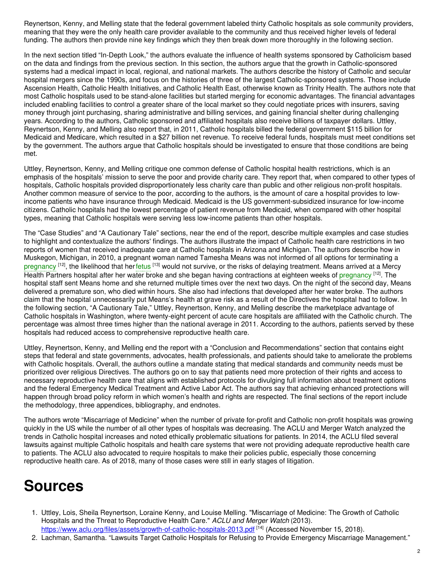Reynertson, Kenny, and Melling state that the federal government labeled thirty Catholic hospitals as sole community providers, meaning that they were the only health care provider available to the community and thus received higher levels of federal funding. The authors then provide nine key findings which they then break down more thoroughly in the following section.

In the next section titled "In-Depth Look," the authors evaluate the influence of health systems sponsored by Catholicism based on the data and findings from the previous section. In this section, the authors argue that the growth in Catholic-sponsored systems had a medical impact in local, regional, and national markets. The authors describe the history of Catholic and secular hospital mergers since the 1990s, and focus on the histories of three of the largest Catholic-sponsored systems. Those include Ascension Health, Catholic Health Initiatives, and Catholic Health East, otherwise known as Trinity Health. The authors note that most Catholic hospitals used to be stand-alone facilities but started merging for economic advantages. The financial advantages included enabling facilities to control a greater share of the local market so they could negotiate prices with insurers, saving money through joint purchasing, sharing administrative and billing services, and gaining financial shelter during challenging years. According to the authors, Catholic sponsored and affiliated hospitals also receive billions of taxpayer dollars. Uttley, Reynertson, Kenny, and Melling also report that, in 2011, Catholic hospitals billed the federal government \$115 billion for Medicaid and Medicare, which resulted in a \$27 billion net revenue. To receive federal funds, hospitals must meet conditions set by the government. The authors argue that Catholic hospitals should be investigated to ensure that those conditions are being met.

Uttley, Reynertson, Kenny, and Melling critique one common defense of Catholic hospital health restrictions, which is an emphasis of the hospitals' mission to serve the poor and provide charity care. They report that, when compared to other types of hospitals, Catholic hospitals provided disproportionately less charity care than public and other religious non-profit hospitals. Another common measure of service to the poor, according to the authors, is the amount of care a hospital provides to lowincome patients who have insurance through Medicaid. Medicaid is the US government-subsidized insurance for low-income citizens. Catholic hospitals had the lowest percentage of patient revenue from Medicaid, when compared with other hospital types, meaning that Catholic hospitals were serving less low-income patients than other hospitals.

The "Case Studies" and "A Cautionary Tale" sections, near the end of the report, describe multiple examples and case studies to highlight and contextualize the authors' findings. The authors illustrate the impact of Catholic health care restrictions in two reports of women that received inadequate care at Catholic hospitals in Arizona and Michigan. The authors describe how in Muskegon, Michigan, in 2010, a pregnant woman named Tamesha Means was not informed of all options for terminating a [pregnancy](https://embryo.asu.edu/search?text=pregnancy) <sup>[12]</sup>, the likelihood that her[fetus](https://embryo.asu.edu/search?text=fetus) <sup>[13]</sup> would not survive, or the risks of delaying treatment. Means arrived at a Mercy Health Partners hospital after her water broke and she began having contractions at eighteen weeks of [pregnancy](https://embryo.asu.edu/search?text=pregnancy) <sup>[12]</sup>. The hospital staff sent Means home and she returned multiple times over the next two days. On the night of the second day, Means delivered a premature son, who died within hours. She also had infections that developed after her water broke. The authors claim that the hospital unnecessarily put Means's health at grave risk as a result of the Directives the hospital had to follow. In the following section, "A Cautionary Tale," Uttley, Reynertson, Kenny, and Melling describe the marketplace advantage of Catholic hospitals in Washington, where twenty-eight percent of acute care hospitals are affiliated with the Catholic church. The percentage was almost three times higher than the national average in 2011. According to the authors, patients served by these hospitals had reduced access to comprehensive reproductive health care.

Uttley, Reynertson, Kenny, and Melling end the report with a "Conclusion and Recommendations" section that contains eight steps that federal and state governments, advocates, health professionals, and patients should take to ameliorate the problems with Catholic hospitals. Overall, the authors outline a mandate stating that medical standards and community needs must be prioritized over religious Directives. The authors go on to say that patients need more protection of their rights and access to necessary reproductive health care that aligns with established protocols for divulging full information about treatment options and the federal Emergency Medical Treatment and Active Labor Act. The authors say that achieving enhanced protections will happen through broad policy reform in which women's health and rights are respected. The final sections of the report include the methodology, three appendices, bibliography, and endnotes.

The authors wrote "Miscarriage of Medicine" when the number of private for-profit and Catholic non-profit hospitals was growing quickly in the US while the number of all other types of hospitals was decreasing. The ACLU and Merger Watch analyzed the trends in Catholic hospital increases and noted ethically problematic situations for patients. In 2014, the ACLU filed several lawsuits against multiple Catholic hospitals and health care systems that were not providing adequate reproductive health care to patients. The ACLU also advocated to require hospitals to make their policies public, especially those concerning reproductive health care. As of 2018, many of those cases were still in early stages of litigation.

## **Sources**

- 1. Uttley, Lois, Sheila Reynertson, Loraine Kenny, and Louise Melling. "Miscarriage of Medicine: The Growth of Catholic Hospitals and the Threat to Reproductive Health Care." *ACLU and Merger Watch* (2013). <https://www.aclu.org/files/assets/growth-of-catholic-hospitals-2013.pdf> <sup>[14]</sup> (Accessed November 15, 2018).
- 2. Lachman, Samantha. "Lawsuits Target Catholic Hospitals for Refusing to Provide Emergency Miscarriage Management."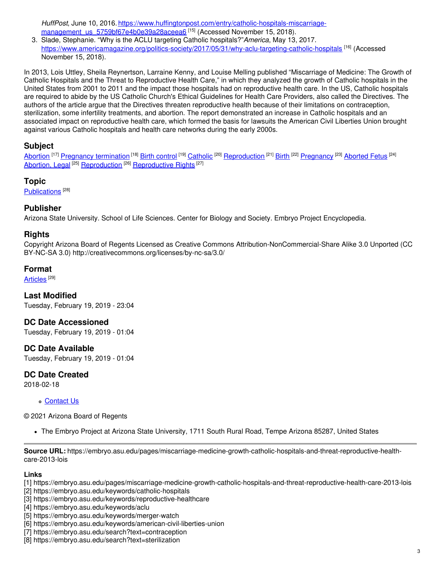*HuffPost*, June 10, 2016. [https://www.huffingtonpost.com/entry/catholic-hospitals-miscarriage](https://www.huffingtonpost.com/entry/catholic-hospitals-miscarriage-management_us_5759bf67e4b0e39a28aceea6)management\_us\_5759bf67e4b0e39a28aceea6<sup>[15]</sup> (Accessed November 15, 2018).

3. Slade, Stephanie. "Why is the ACLU targeting Catholic hospitals?"*America*, May 13, 2017. <https://www.americamagazine.org/politics-society/2017/05/31/why-aclu-targeting-catholic-hospitals> <sup>[16]</sup> (Accessed November 15, 2018).

In 2013, Lois Uttley, Sheila Reynertson, Larraine Kenny, and Louise Melling published "Miscarriage of Medicine: The Growth of Catholic Hospitals and the Threat to Reproductive Health Care," in which they analyzed the growth of Catholic hospitals in the United States from 2001 to 2011 and the impact those hospitals had on reproductive health care. In the US, Catholic hospitals are required to abide by the US Catholic Church's Ethical Guidelines for Health Care Providers, also called the Directives. The authors of the article argue that the Directives threaten reproductive health because of their limitations on contraception, sterilization, some infertility treatments, and abortion. The report demonstrated an increase in Catholic hospitals and an associated impact on reproductive health care, which formed the basis for lawsuits the American Civil Liberties Union brought against various Catholic hospitals and health care networks during the early 2000s.

## **Subject**

[Abortion](https://embryo.asu.edu/library-congress-subject-headings/abortion) <sup>[17]</sup> Pregnancy [termination](https://embryo.asu.edu/library-congress-subject-headings/pregnancy-termination) <sup>[18]</sup> Birth [control](https://embryo.asu.edu/library-congress-subject-headings/birth-control) <sup>[19]</sup> [Catholic](https://embryo.asu.edu/library-congress-subject-headings/catholic) <sup>[20]</sup> [Reproduction](https://embryo.asu.edu/library-congress-subject-headings/reproduction) <sup>[21]</sup> [Birth](https://embryo.asu.edu/library-congress-subject-headings/birth) <sup>[22]</sup> [Pregnancy](https://embryo.asu.edu/medical-subject-headings/pregnancy) <sup>[23]</sup> [Aborted](https://embryo.asu.edu/medical-subject-headings/aborted-fetus) Fetus <sup>[24]</sup> [Abortion,](https://embryo.asu.edu/medical-subject-headings/abortion-legal) Legal<sup>[25]</sup> [Reproduction](https://embryo.asu.edu/medical-subject-headings/reproduction)<sup>[26]</sup> [Reproductive](https://embryo.asu.edu/medical-subject-headings/reproductive-rights) Rights<sup>[27]</sup>

## **Topic**

[Publications](https://embryo.asu.edu/topics/publications)<sup>[28]</sup>

## **Publisher**

Arizona State University. School of Life Sciences. Center for Biology and Society. Embryo Project Encyclopedia.

## **Rights**

Copyright Arizona Board of Regents Licensed as Creative Commons Attribution-NonCommercial-Share Alike 3.0 Unported (CC BY-NC-SA 3.0) http://creativecommons.org/licenses/by-nc-sa/3.0/

## **Format**

[Articles](https://embryo.asu.edu/formats/articles)  $^{\rm [29]}$ 

**Last Modified** Tuesday, February 19, 2019 - 23:04

**DC Date Accessioned**

Tuesday, February 19, 2019 - 01:04

**DC Date Available** Tuesday, February 19, 2019 - 01:04

**DC Date Created**

2018-02-18

#### [Contact](https://embryo.asu.edu/contact) Us

#### © 2021 Arizona Board of Regents

The Embryo Project at Arizona State University, 1711 South Rural Road, Tempe Arizona 85287, United States

**Source URL:** https://embryo.asu.edu/pages/miscarriage-medicine-growth-catholic-hospitals-and-threat-reproductive-healthcare-2013-lois

#### **Links**

- [1] https://embryo.asu.edu/pages/miscarriage-medicine-growth-catholic-hospitals-and-threat-reproductive-health-care-2013-lois
- [2] https://embryo.asu.edu/keywords/catholic-hospitals
- [3] https://embryo.asu.edu/keywords/reproductive-healthcare
- [4] https://embryo.asu.edu/keywords/aclu
- [5] https://embryo.asu.edu/keywords/merger-watch
- [6] https://embryo.asu.edu/keywords/american-civil-liberties-union
- [7] https://embryo.asu.edu/search?text=contraception
- [8] https://embryo.asu.edu/search?text=sterilization